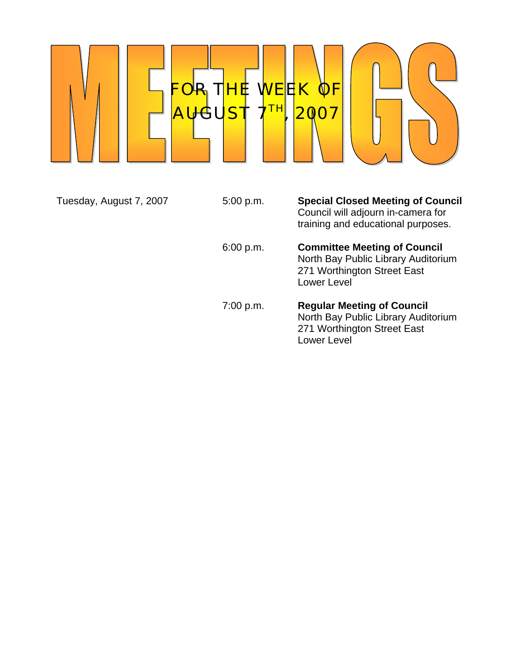

Tuesday, August 7, 2007 5:00 p.m. **Special Closed Meeting of Council** Council will adjourn in-camera for training and educational purposes. 6:00 p.m. **Committee Meeting of Council** North Bay Public Library Auditorium 271 Worthington Street East Lower Level 7:00 p.m. **Regular Meeting of Council** North Bay Public Library Auditorium 271 Worthington Street East

Lower Level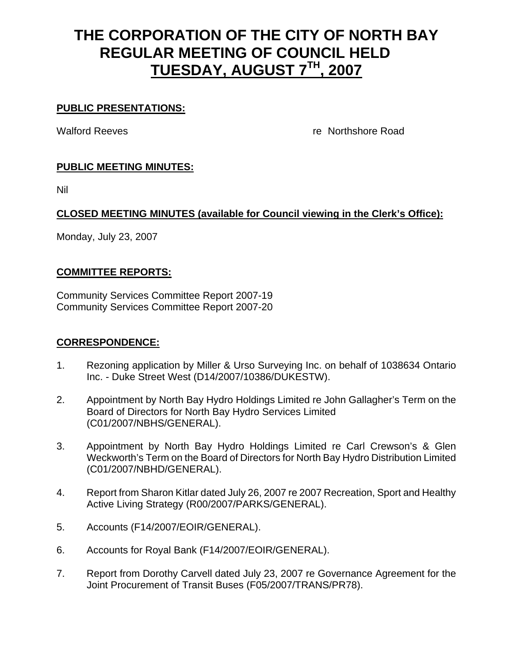# **THE CORPORATION OF THE CITY OF NORTH BAY REGULAR MEETING OF COUNCIL HELD TUESDAY, AUGUST 7TH, 2007**

#### **PUBLIC PRESENTATIONS:**

Walford Reeves re Northshore Road

## **PUBLIC MEETING MINUTES:**

Nil

## **CLOSED MEETING MINUTES (available for Council viewing in the Clerk's Office):**

Monday, July 23, 2007

#### **COMMITTEE REPORTS:**

Community Services Committee Report 2007-19 Community Services Committee Report 2007-20

#### **CORRESPONDENCE:**

- 1. Rezoning application by Miller & Urso Surveying Inc. on behalf of 1038634 Ontario Inc. - Duke Street West (D14/2007/10386/DUKESTW).
- 2. Appointment by North Bay Hydro Holdings Limited re John Gallagher's Term on the Board of Directors for North Bay Hydro Services Limited (C01/2007/NBHS/GENERAL).
- 3. Appointment by North Bay Hydro Holdings Limited re Carl Crewson's & Glen Weckworth's Term on the Board of Directors for North Bay Hydro Distribution Limited (C01/2007/NBHD/GENERAL).
- 4. Report from Sharon Kitlar dated July 26, 2007 re 2007 Recreation, Sport and Healthy Active Living Strategy (R00/2007/PARKS/GENERAL).
- 5. Accounts (F14/2007/EOIR/GENERAL).
- 6. Accounts for Royal Bank (F14/2007/EOIR/GENERAL).
- 7. Report from Dorothy Carvell dated July 23, 2007 re Governance Agreement for the Joint Procurement of Transit Buses (F05/2007/TRANS/PR78).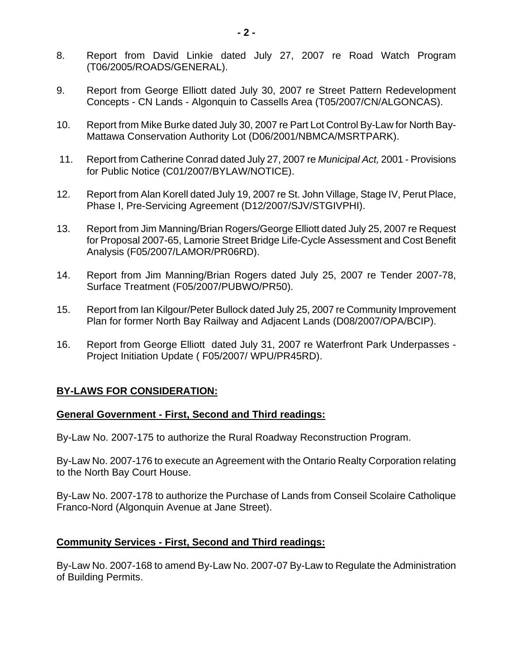- 8. Report from David Linkie dated July 27, 2007 re Road Watch Program (T06/2005/ROADS/GENERAL).
- 9. Report from George Elliott dated July 30, 2007 re Street Pattern Redevelopment Concepts - CN Lands - Algonquin to Cassells Area (T05/2007/CN/ALGONCAS).
- 10. Report from Mike Burke dated July 30, 2007 re Part Lot Control By-Law for North Bay-Mattawa Conservation Authority Lot (D06/2001/NBMCA/MSRTPARK).
- 11. Report from Catherine Conrad dated July 27, 2007 re *Municipal Act,* 2001 Provisions for Public Notice (C01/2007/BYLAW/NOTICE).
- 12. Report from Alan Korell dated July 19, 2007 re St. John Village, Stage IV, Perut Place, Phase I, Pre-Servicing Agreement (D12/2007/SJV/STGIVPHI).
- 13. Report from Jim Manning/Brian Rogers/George Elliott dated July 25, 2007 re Request for Proposal 2007-65, Lamorie Street Bridge Life-Cycle Assessment and Cost Benefit Analysis (F05/2007/LAMOR/PR06RD).
- 14. Report from Jim Manning/Brian Rogers dated July 25, 2007 re Tender 2007-78, Surface Treatment (F05/2007/PUBWO/PR50).
- 15. Report from Ian Kilgour/Peter Bullock dated July 25, 2007 re Community Improvement Plan for former North Bay Railway and Adjacent Lands (D08/2007/OPA/BCIP).
- 16. Report from George Elliott dated July 31, 2007 re Waterfront Park Underpasses Project Initiation Update ( F05/2007/ WPU/PR45RD).

## **BY-LAWS FOR CONSIDERATION:**

#### **General Government - First, Second and Third readings:**

By-Law No. 2007-175 to authorize the Rural Roadway Reconstruction Program.

By-Law No. 2007-176 to execute an Agreement with the Ontario Realty Corporation relating to the North Bay Court House.

By-Law No. 2007-178 to authorize the Purchase of Lands from Conseil Scolaire Catholique Franco-Nord (Algonquin Avenue at Jane Street).

## **Community Services - First, Second and Third readings:**

By-Law No. 2007-168 to amend By-Law No. 2007-07 By-Law to Regulate the Administration of Building Permits.